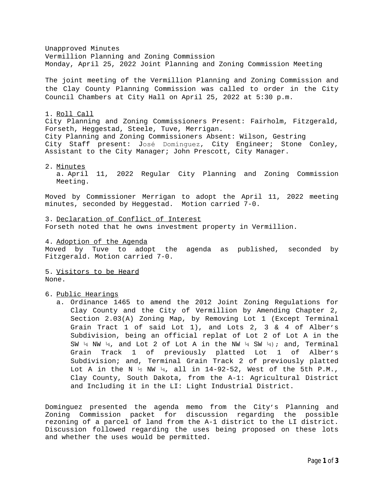Unapproved Minutes Vermillion Planning and Zoning Commission Monday, April 25, 2022 Joint Planning and Zoning Commission Meeting The joint meeting of the Vermillion Planning and Zoning Commission and the Clay County Planning Commission was called to order in the City Council Chambers at City Hall on April 25, 2022 at 5:30 p.m. 1. Roll Call City Planning and Zoning Commissioners Present: Fairholm, Fitzgerald, Forseth, Heggestad, Steele, Tuve, Merrigan. City Planning and Zoning Commissioners Absent: Wilson, Gestring City Staff present: José Domínguez, City Engineer; Stone Conley, Assistant to the City Manager; John Prescott, City Manager. 2. Minutes a. April 11, 2022 Regular City Planning and Zoning Commission Meeting. Moved by Commissioner Merrigan to adopt the April 11, 2022 meeting minutes, seconded by Heggestad. Motion carried 7-0. 3. Declaration of Conflict of Interest Forseth noted that he owns investment property in Vermillion. 4. Adoption of the Agenda Moved by Tuve to adopt the agenda as published, seconded by Fitzgerald. Motion carried 7-0. 5. Visitors to be Heard None. 6. Public Hearings a. Ordinance 1465 to amend the 2012 Joint Zoning Regulations for Clay County and the City of Vermillion by Amending Chapter 2, Section 2.03(A) Zoning Map, by Removing Lot 1 (Except Terminal Grain Tract 1 of said Lot 1), and Lots 2, 3 & 4 of Alber's Subdivision, being an official replat of Lot 2 of Lot A in the SW  $\frac{1}{4}$  NW  $\frac{1}{4}$ , and Lot 2 of Lot A in the NW  $\frac{1}{4}$  SW  $\frac{1}{4}$ ); and, Terminal Grain Track 1 of previously platted Lot 1 of Alber's Subdivision; and, Terminal Grain Track 2 of previously platted Lot A in the N  $\frac{1}{2}$  NW  $\frac{1}{4}$ , all in 14-92-52, West of the 5th P.M., Clay County, South Dakota, from the A-1: Agricultural District

Dominguez presented the agenda memo from the City's Planning and Zoning Commission packet for discussion regarding the possible rezoning of a parcel of land from the A-1 district to the LI district. Discussion followed regarding the uses being proposed on these lots and whether the uses would be permitted.

and Including it in the LI: Light Industrial District.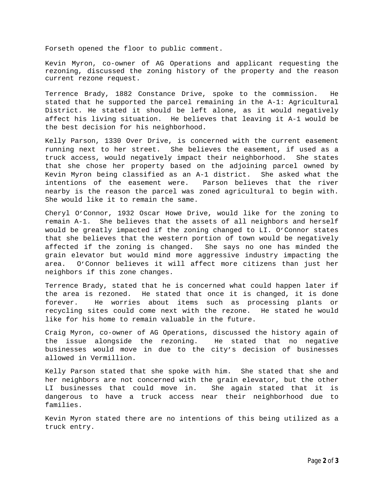Forseth opened the floor to public comment.

Kevin Myron, co-owner of AG Operations and applicant requesting the rezoning, discussed the zoning history of the property and the reason current rezone request.

Terrence Brady, 1882 Constance Drive, spoke to the commission. He stated that he supported the parcel remaining in the A-1: Agricultural District. He stated it should be left alone, as it would negatively affect his living situation. He believes that leaving it A-1 would be the best decision for his neighborhood.

Kelly Parson, 1330 Over Drive, is concerned with the current easement running next to her street. She believes the easement, if used as a truck access, would negatively impact their neighborhood. She states that she chose her property based on the adjoining parcel owned by Kevin Myron being classified as an A-1 district. She asked what the intentions of the easement were. Parson believes that the river nearby is the reason the parcel was zoned agricultural to begin with. She would like it to remain the same.

Cheryl O'Connor, 1932 Oscar Howe Drive, would like for the zoning to remain A-1. She believes that the assets of all neighbors and herself would be greatly impacted if the zoning changed to LI. O'Connor states that she believes that the western portion of town would be negatively affected if the zoning is changed. She says no one has minded the grain elevator but would mind more aggressive industry impacting the area. O'Connor believes it will affect more citizens than just her neighbors if this zone changes.

Terrence Brady, stated that he is concerned what could happen later if the area is rezoned. He stated that once it is changed, it is done forever. He worries about items such as processing plants or recycling sites could come next with the rezone. He stated he would like for his home to remain valuable in the future.

Craig Myron, co-owner of AG Operations, discussed the history again of the issue alongside the rezoning. He stated that no negative businesses would move in due to the city's decision of businesses allowed in Vermillion.

Kelly Parson stated that she spoke with him. She stated that she and her neighbors are not concerned with the grain elevator, but the other LI businesses that could move in. She again stated that it is dangerous to have a truck access near their neighborhood due to families.

Kevin Myron stated there are no intentions of this being utilized as a truck entry.